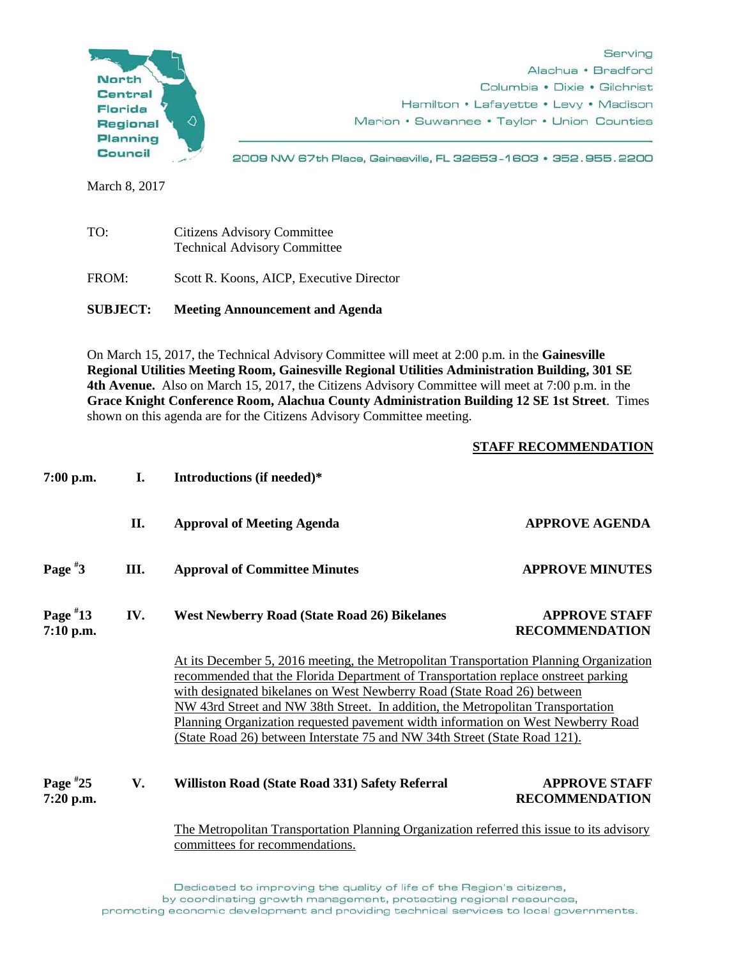

March 8, 2017

| TO:             | Citizens Advisory Committee<br><b>Technical Advisory Committee</b> |
|-----------------|--------------------------------------------------------------------|
| FROM:           | Scott R. Koons, AICP, Executive Director                           |
| <b>SUBJECT:</b> | <b>Meeting Announcement and Agenda</b>                             |

On March 15, 2017, the Technical Advisory Committee will meet at 2:00 p.m. in the **Gainesville Regional Utilities Meeting Room, Gainesville Regional Utilities Administration Building, 301 SE 4th Avenue.** Also on March 15, 2017, the Citizens Advisory Committee will meet at 7:00 p.m. in the **Grace Knight Conference Room, Alachua County Administration Building 12 SE 1st Street**. Times shown on this agenda are for the Citizens Advisory Committee meeting.

## **STAFF RECOMMENDATION**

| $7:00$ p.m.               | I.  | Introductions (if needed)*                                                                                                                                                                                                                                                                                                                                                                                                                                                                                          |                                               |
|---------------------------|-----|---------------------------------------------------------------------------------------------------------------------------------------------------------------------------------------------------------------------------------------------------------------------------------------------------------------------------------------------------------------------------------------------------------------------------------------------------------------------------------------------------------------------|-----------------------------------------------|
|                           | II. | <b>Approval of Meeting Agenda</b>                                                                                                                                                                                                                                                                                                                                                                                                                                                                                   | <b>APPROVE AGENDA</b>                         |
| Page $*3$                 | Ш.  | <b>Approval of Committee Minutes</b>                                                                                                                                                                                                                                                                                                                                                                                                                                                                                | <b>APPROVE MINUTES</b>                        |
| Page $*13$<br>$7:10$ p.m. | IV. | <b>West Newberry Road (State Road 26) Bikelanes</b>                                                                                                                                                                                                                                                                                                                                                                                                                                                                 | <b>APPROVE STAFF</b><br><b>RECOMMENDATION</b> |
|                           |     | At its December 5, 2016 meeting, the Metropolitan Transportation Planning Organization<br>recommended that the Florida Department of Transportation replace onstreet parking<br>with designated bikelanes on West Newberry Road (State Road 26) between<br>NW 43rd Street and NW 38th Street. In addition, the Metropolitan Transportation<br><u>Planning Organization requested pavement width information on West Newberry Road</u><br>(State Road 26) between Interstate 75 and NW 34th Street (State Road 121). |                                               |
| Page $*25$<br>$7:20$ p.m. | V.  | Williston Road (State Road 331) Safety Referral                                                                                                                                                                                                                                                                                                                                                                                                                                                                     | <b>APPROVE STAFF</b><br><b>RECOMMENDATION</b> |
|                           |     | The Metropolitan Transportation Planning Organization referred this issue to its advisory<br>committees for recommendations.                                                                                                                                                                                                                                                                                                                                                                                        |                                               |